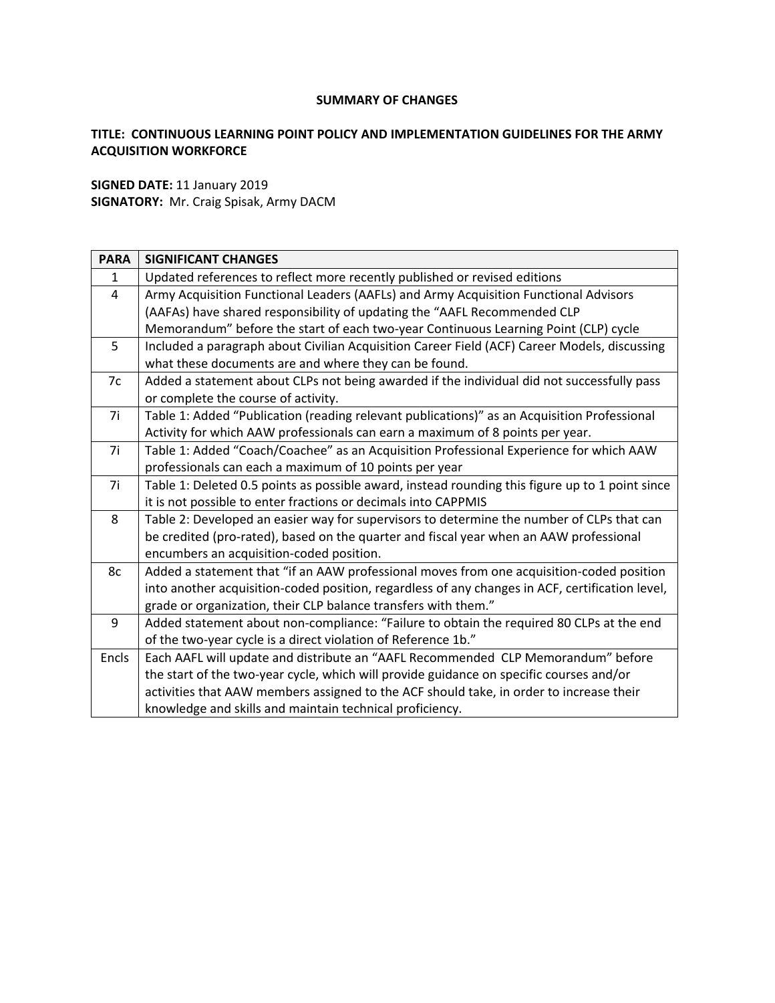### **SUMMARY OF CHANGES**

## **TITLE: CONTINUOUS LEARNING POINT POLICY AND IMPLEMENTATION GUIDELINES FOR THE ARMY ACQUISITION WORKFORCE**

**SIGNED DATE:** 11 January 2019 **SIGNATORY:** Mr. Craig Spisak, Army DACM

| <b>PARA</b>  | <b>SIGNIFICANT CHANGES</b>                                                                      |  |  |  |
|--------------|-------------------------------------------------------------------------------------------------|--|--|--|
| $\mathbf{1}$ | Updated references to reflect more recently published or revised editions                       |  |  |  |
| 4            | Army Acquisition Functional Leaders (AAFLs) and Army Acquisition Functional Advisors            |  |  |  |
|              | (AAFAs) have shared responsibility of updating the "AAFL Recommended CLP                        |  |  |  |
|              | Memorandum" before the start of each two-year Continuous Learning Point (CLP) cycle             |  |  |  |
| 5            | Included a paragraph about Civilian Acquisition Career Field (ACF) Career Models, discussing    |  |  |  |
|              | what these documents are and where they can be found.                                           |  |  |  |
| 7c           | Added a statement about CLPs not being awarded if the individual did not successfully pass      |  |  |  |
|              | or complete the course of activity.                                                             |  |  |  |
| 7i           | Table 1: Added "Publication (reading relevant publications)" as an Acquisition Professional     |  |  |  |
|              | Activity for which AAW professionals can earn a maximum of 8 points per year.                   |  |  |  |
| 7i           | Table 1: Added "Coach/Coachee" as an Acquisition Professional Experience for which AAW          |  |  |  |
|              | professionals can each a maximum of 10 points per year                                          |  |  |  |
| 7i           | Table 1: Deleted 0.5 points as possible award, instead rounding this figure up to 1 point since |  |  |  |
|              | it is not possible to enter fractions or decimals into CAPPMIS                                  |  |  |  |
| 8            | Table 2: Developed an easier way for supervisors to determine the number of CLPs that can       |  |  |  |
|              | be credited (pro-rated), based on the quarter and fiscal year when an AAW professional          |  |  |  |
|              | encumbers an acquisition-coded position.                                                        |  |  |  |
| 8c           | Added a statement that "if an AAW professional moves from one acquisition-coded position        |  |  |  |
|              | into another acquisition-coded position, regardless of any changes in ACF, certification level, |  |  |  |
|              | grade or organization, their CLP balance transfers with them."                                  |  |  |  |
| 9            | Added statement about non-compliance: "Failure to obtain the required 80 CLPs at the end        |  |  |  |
|              | of the two-year cycle is a direct violation of Reference 1b."                                   |  |  |  |
| Encls        | Each AAFL will update and distribute an "AAFL Recommended CLP Memorandum" before                |  |  |  |
|              | the start of the two-year cycle, which will provide guidance on specific courses and/or         |  |  |  |
|              | activities that AAW members assigned to the ACF should take, in order to increase their         |  |  |  |
|              | knowledge and skills and maintain technical proficiency.                                        |  |  |  |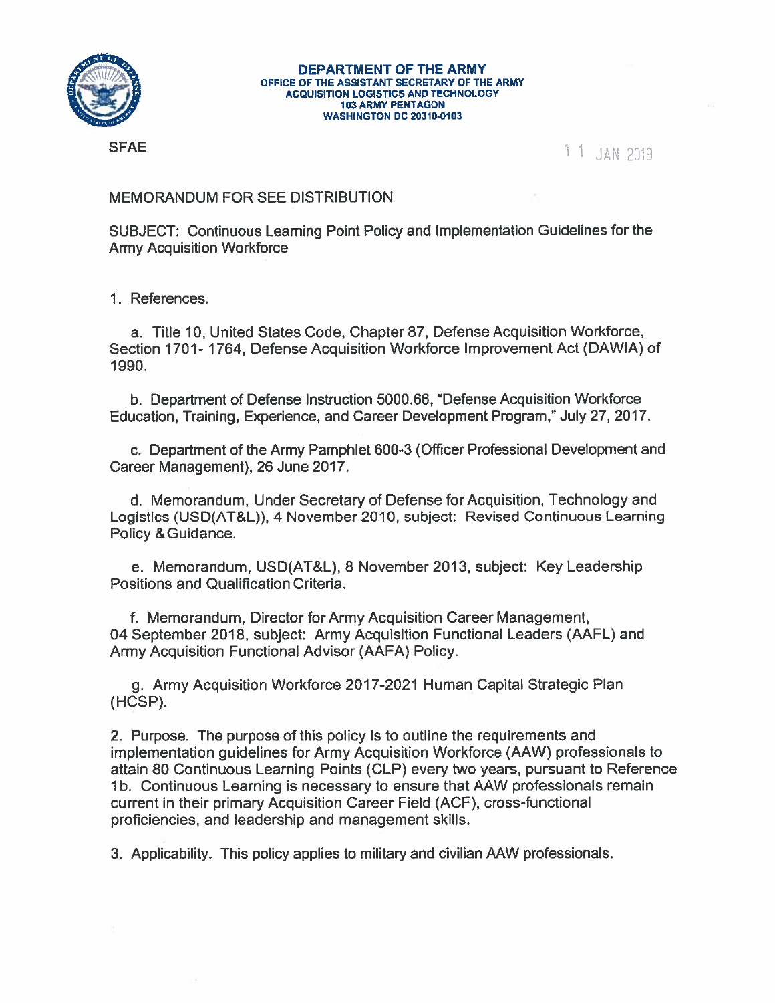

#### **DEPARTMENT OF THE ARMY** OFFICE OF THE ASSISTANT SECRETARY OF THE ARMY **ACQUISITION LOGISTICS AND TECHNOLOGY 103 ARMY PENTAGON WASHINGTON DC 20310-0103**

**SFAE** 

1 1 JAN 2019

# **MEMORANDUM FOR SEE DISTRIBUTION**

SUBJECT: Continuous Learning Point Policy and Implementation Guidelines for the **Army Acquisition Workforce** 

1. References.

a. Title 10, United States Code, Chapter 87, Defense Acquisition Workforce, Section 1701-1764, Defense Acquisition Workforce Improvement Act (DAWIA) of 1990.

b. Department of Defense Instruction 5000.66, "Defense Acquisition Workforce Education, Training, Experience, and Career Development Program," July 27, 2017.

c. Department of the Army Pamphlet 600-3 (Officer Professional Development and Career Management), 26 June 2017.

d. Memorandum, Under Secretary of Defense for Acquisition, Technology and Logistics (USD(AT&L)), 4 November 2010, subject: Revised Continuous Learning Policy & Guidance.

e. Memorandum, USD(AT&L), 8 November 2013, subject: Key Leadership Positions and Qualification Criteria.

f. Memorandum, Director for Army Acquisition Career Management, 04 September 2018, subject: Army Acquisition Functional Leaders (AAFL) and Army Acquisition Functional Advisor (AAFA) Policy.

g. Army Acquisition Workforce 2017-2021 Human Capital Strategic Plan (HCSP).

2. Purpose. The purpose of this policy is to outline the requirements and implementation guidelines for Army Acquisition Workforce (AAW) professionals to attain 80 Continuous Learning Points (CLP) every two years, pursuant to Reference 1b. Continuous Learning is necessary to ensure that AAW professionals remain current in their primary Acquisition Career Field (ACF), cross-functional proficiencies, and leadership and management skills.

3. Applicability. This policy applies to military and civilian AAW professionals.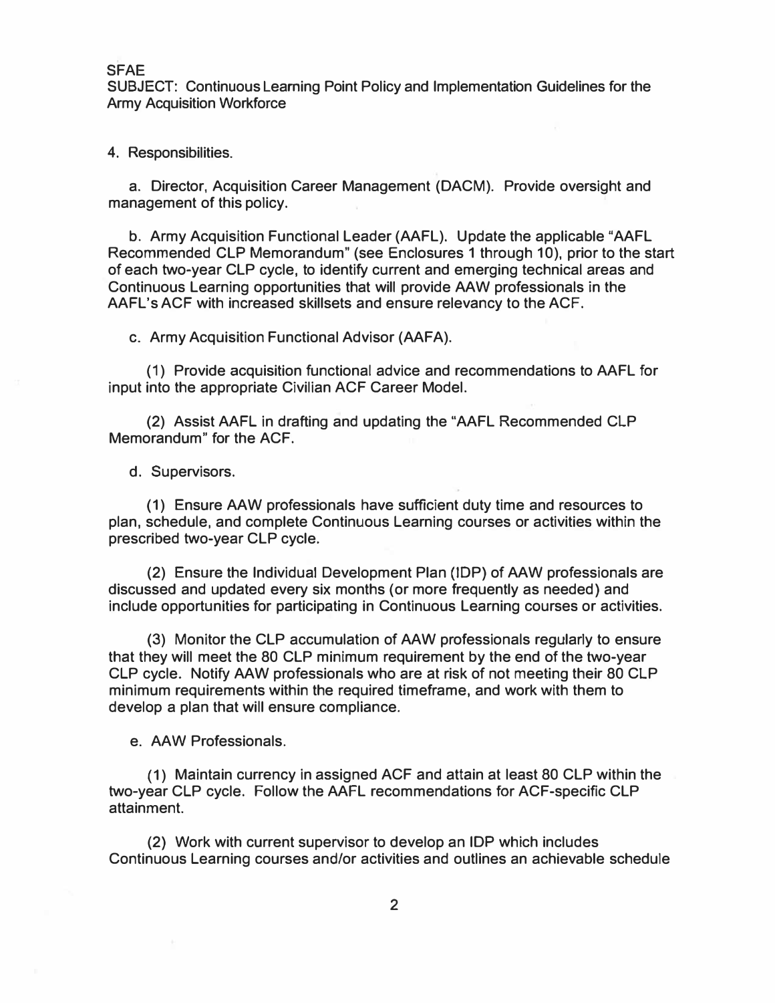**SUBJECT: Continuous Leaming Point Policy and Implementation Guidelines for the Army Acquisition Workforce** 

**4. Responsibilities.**

**a. Director, Acquisition Career Management (DACM). Provide oversight and management of this policy.** 

**b. Army Acquisition Functional Leader (AAFL). Update the applicable "AAFL Recommended CLP Memorandum" (see Enclosures 1 through 10), prior to the start of each two-year CLP cycle, to identify current and emerging technical areas and Continuous Learning opportunities that will provide AAW professionals in the AAFL's ACF with increased skillsets and ensure relevancy to the ACF.** 

**c. Army Acquisition Functional Advisor (AAFA).**

**(1) Provide acquisition functional advice and recommendations to AAFL for input into the appropriate Civilian ACF Career Model.** 

**(2) Assist AAFL in drafting and updating the "AAFL Recommended CLP Memorandum" for the ACF.** 

**d. Supervisors.**

**(1) Ensure AAW professionals have sufficient duty time and resources to plan, schedule, and complete Continuous Learning courses or activities within the prescribed two-year CLP cycle.** 

**(2) Ensure the Individual Development Plan (IDP) of AAW professionals are discussed and updated every six months (or more frequently as needed) and include opportunities for participating in Continuous Learning courses or activities.** 

**(3) Monitor the CLP accumulation of AAW professionals regularly to ensure that they will meet the 80 CLP minimum requirement by the end of the two-year CLP cycle. Notify AAW professionals who are at risk of not meeting their 80 CLP minimum requirements within the required timeframe, and work with them to develop a plan that will ensure compliance.** 

**e. AAW Professionals.**

**(1) Maintain currency in assigned ACF and attain at least 80 CLP within the two-year CLP cycle. Follow the AAFL recommendations for ACF-specific CLP attainment.** 

**(2) Work with current supervisor to develop an IDP which includes Continuous Learning courses and/or activities and outlines an achievable schedule**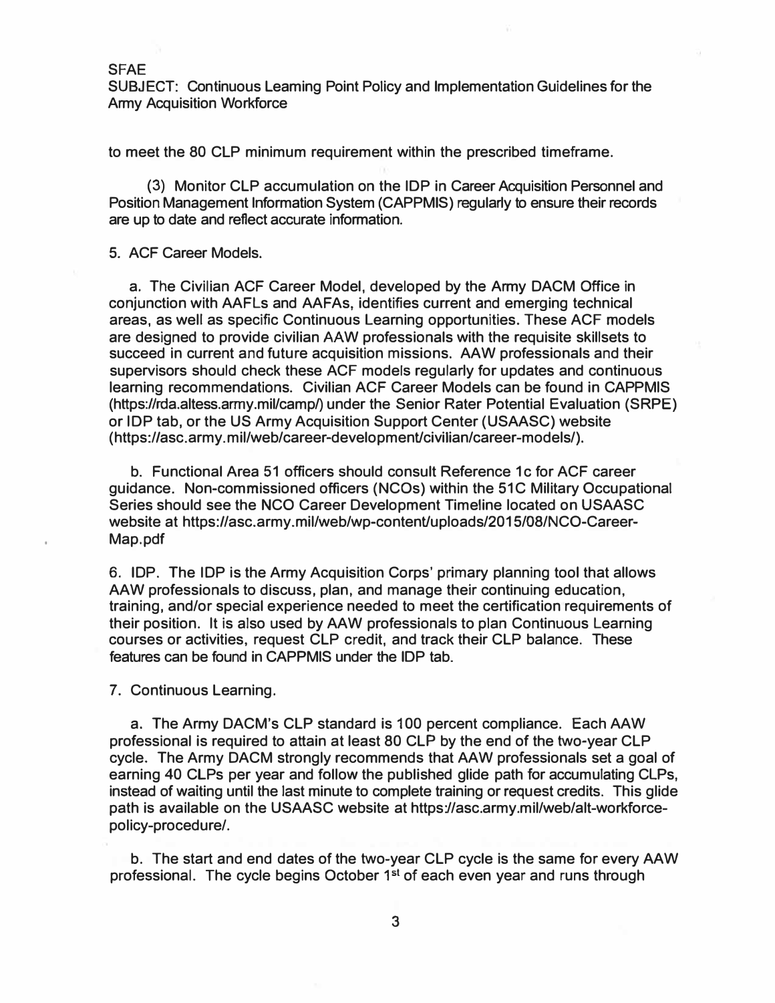**SUBJECT: Continuous Leaming Point Policy and Implementation Guidelines for the Army Acquisition Workforce** 

**to meet the 80 CLP minimum requirement within the prescribed timeframe.** 

**(3) Monitor CLP accumulation on the IDP in Career Acquisition Personnel and Position Management Information System (CAPPMIS) regularly to ensure their records are up to date and reflect accurate information.** 

### **5. ACF Career Models.**

**a. The Civilian ACF Career Model, developed by the Army DACM Office in conjunction with AAFLs and AAFAs, identifies current and emerging technical areas, as well as specific Continuous Learning opportunities. These ACF models are designed to provide civilian AAW professionals with the requisite skillsets to succeed in current and future acquisition missions. AAW professionals and their supervisors should check these ACF models regularly for updates and continuous learning recommendations. Civilian ACF Career Models can be found in CAPPMIS (https://rda.altess.army.mil/camp/) under the Senior Rater Potential Evaluation (SRPE) or IDP tab, or the US Army Acquisition Support Center (USAASC) website ( https://asc.army. m il/web/career-developmenUcivilian/career-models/).** 

**b. Functional Area 51 officers should consult Reference 1 c for ACF career guidance. Non-commissioned officers (NCOs) within the 51C Military Occupational Series should see the NCO Career Development Timeline located on USAASC**  website at https://asc.army.mil/web/wp-content/uploads/2015/08/NCO-Career-**Map.pdf** 

**6. IDP. The IDP is the Army Acquisition Corps' primary planning tool that allows AAW professionals to discuss, plan, and manage their continuing education, training, and/or special experience needed to meet the certification requirements of their position. It is also used by AAW professionals to plan Continuous Learning courses or activities, request CLP credit, and track their CLP balance. These features can be found in CAPPMIS under the IDP tab.**

**7. Continuous Learning.**

**a. The Army DACM's CLP standard is 100 percent compliance. Each AAW professional is required to attain at least 80 CLP by the end of the two-year CLP cycle. The Army DACM strongly recommends that AAW professionals set a goal of earning 40 CLPs per year and follow the published glide path for accumulating CLPs, instead of waiting until the last minute to complete training or request credits. This glide path is available on the USAASC website at https://asc.army.mil/web/alt-workforcepolicy-procedure/.**

**b. The start and end dates of the two-year CLP cycle is the same for every AAW professional. The cycle begins October 1** st **of each even year and runs through**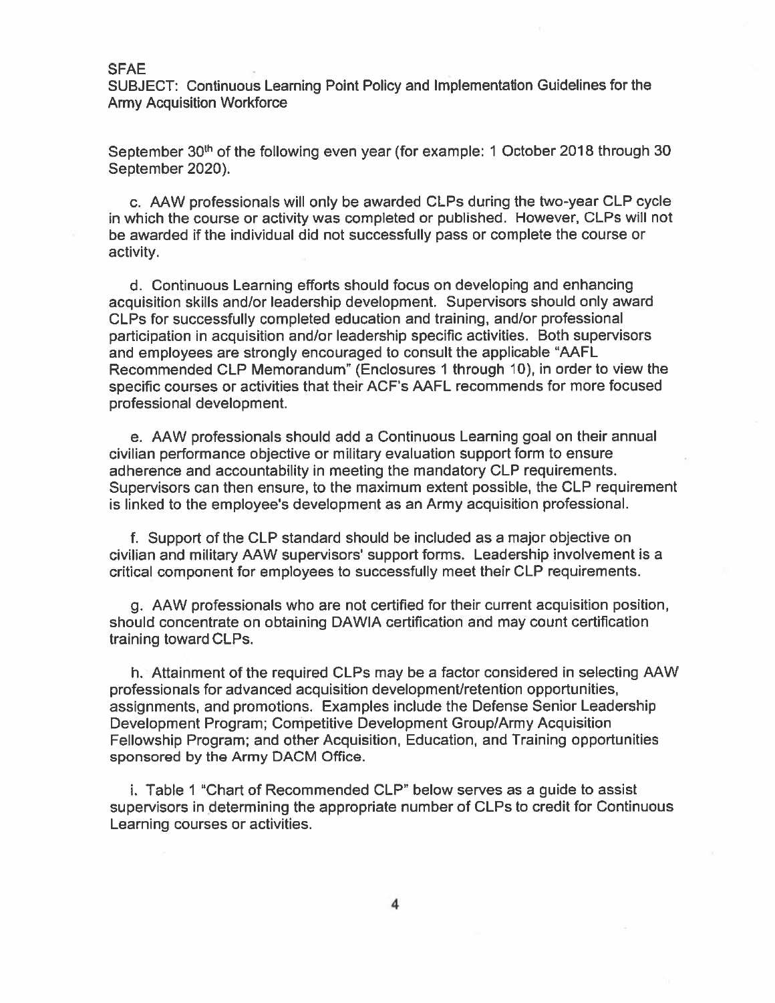SUBJECT: Continuous Learning Point Policy and Implementation Guidelines for the **Army Acquisition Workforce** 

September 30<sup>th</sup> of the following even year (for example: 1 October 2018 through 30 September 2020).

c. AAW professionals will only be awarded CLPs during the two-year CLP cycle in which the course or activity was completed or published. However, CLPs will not be awarded if the individual did not successfully pass or complete the course or activity.

d. Continuous Learning efforts should focus on developing and enhancing acquisition skills and/or leadership development. Supervisors should only award CLPs for successfully completed education and training, and/or professional participation in acquisition and/or leadership specific activities. Both supervisors and employees are strongly encouraged to consult the applicable "AAFL Recommended CLP Memorandum" (Enclosures 1 through 10), in order to view the specific courses or activities that their ACF's AAFL recommends for more focused professional development.

e. AAW professionals should add a Continuous Learning goal on their annual civilian performance objective or military evaluation support form to ensure adherence and accountability in meeting the mandatory CLP requirements. Supervisors can then ensure, to the maximum extent possible, the CLP requirement is linked to the employee's development as an Army acquisition professional.

f. Support of the CLP standard should be included as a major objective on civilian and military AAW supervisors' support forms. Leadership involvement is a critical component for employees to successfully meet their CLP requirements.

g. AAW professionals who are not certified for their current acquisition position, should concentrate on obtaining DAWIA certification and may count certification training toward CLPs.

h. Attainment of the required CLPs may be a factor considered in selecting AAW professionals for advanced acquisition development/retention opportunities, assignments, and promotions. Examples include the Defense Senior Leadership Development Program; Competitive Development Group/Army Acquisition Fellowship Program; and other Acquisition, Education, and Training opportunities sponsored by the Army DACM Office.

i. Table 1 "Chart of Recommended CLP" below serves as a guide to assist supervisors in determining the appropriate number of CLPs to credit for Continuous Learning courses or activities.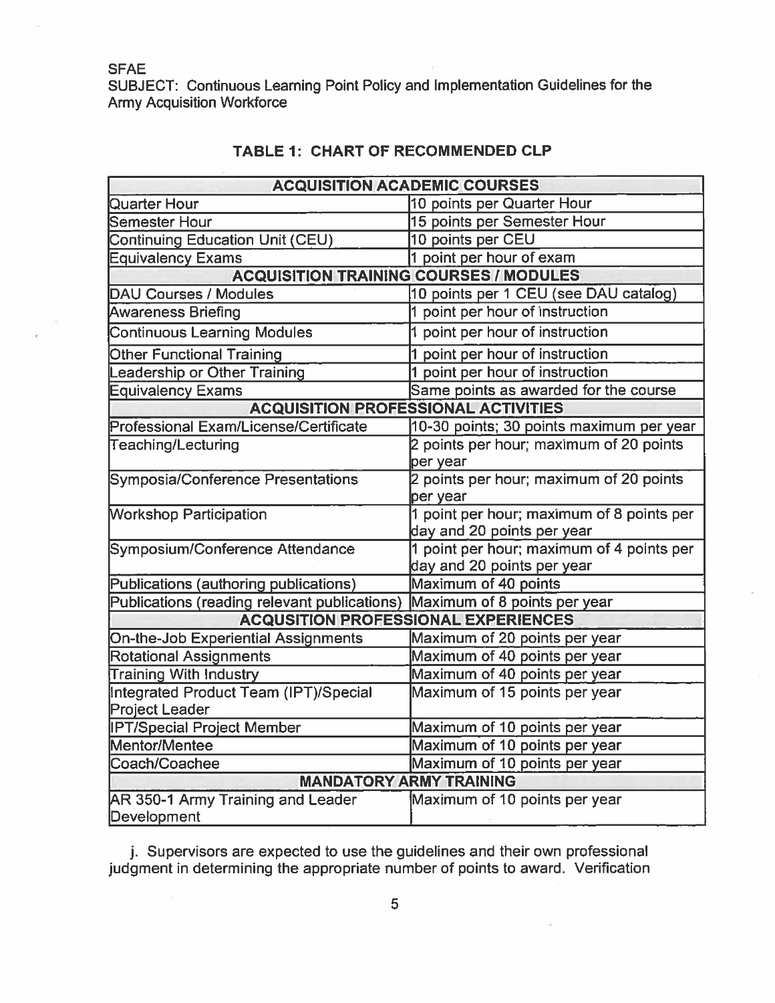SUBJECT: Continuous Learning Point Policy and Implementation Guidelines for the **Army Acquisition Workforce** 

| <b>ACQUISITION ACADEMIC COURSES</b>           |                                           |  |  |  |  |  |
|-----------------------------------------------|-------------------------------------------|--|--|--|--|--|
| Quarter Hour                                  | 10 points per Quarter Hour                |  |  |  |  |  |
| <b>Semester Hour</b>                          | 15 points per Semester Hour               |  |  |  |  |  |
| <b>Continuing Education Unit (CEU)</b>        | 10 points per CEU                         |  |  |  |  |  |
| <b>Equivalency Exams</b>                      | 1 point per hour of exam                  |  |  |  |  |  |
| <b>ACQUISITION TRAINING COURSES / MODULES</b> |                                           |  |  |  |  |  |
| <b>DAU Courses / Modules</b>                  | 10 points per 1 CEU (see DAU catalog)     |  |  |  |  |  |
| <b>Awareness Briefing</b>                     | 1 point per hour of instruction           |  |  |  |  |  |
| <b>Continuous Learning Modules</b>            | 1 point per hour of instruction           |  |  |  |  |  |
| <b>Other Functional Training</b>              | 1 point per hour of instruction           |  |  |  |  |  |
| eadership or Other Training                   | 1 point per hour of instruction           |  |  |  |  |  |
| <b>Equivalency Exams</b>                      | Same points as awarded for the course     |  |  |  |  |  |
| <b>ACQUISITION PROFESSIONAL ACTIVITIES</b>    |                                           |  |  |  |  |  |
| Professional Exam/License/Certificate         | 10-30 points; 30 points maximum per year  |  |  |  |  |  |
| Teaching/Lecturing                            | 2 points per hour; maximum of 20 points   |  |  |  |  |  |
|                                               | per year                                  |  |  |  |  |  |
| <b>Symposia/Conference Presentations</b>      | 2 points per hour; maximum of 20 points   |  |  |  |  |  |
|                                               | per year                                  |  |  |  |  |  |
| <b>Workshop Participation</b>                 | 1 point per hour; maximum of 8 points per |  |  |  |  |  |
|                                               | day and 20 points per year                |  |  |  |  |  |
| Symposium/Conference Attendance               | 1 point per hour; maximum of 4 points per |  |  |  |  |  |
|                                               | day and 20 points per year                |  |  |  |  |  |
| Publications (authoring publications)         | Maximum of 40 points                      |  |  |  |  |  |
| Publications (reading relevant publications)  | Maximum of 8 points per year              |  |  |  |  |  |
| <b>ACQUSITION PROFESSIONAL EXPERIENCES</b>    |                                           |  |  |  |  |  |
| <b>On-the-Job Experiential Assignments</b>    | Maximum of 20 points per year             |  |  |  |  |  |
| <b>Rotational Assignments</b>                 | Maximum of 40 points per year             |  |  |  |  |  |
| <b>Training With Industry</b>                 | Maximum of 40 points per year             |  |  |  |  |  |
| Integrated Product Team (IPT)/Special         | Maximum of 15 points per year             |  |  |  |  |  |
| Project Leader                                |                                           |  |  |  |  |  |
| <b>IPT/Special Project Member</b>             | Maximum of 10 points per year             |  |  |  |  |  |
| Mentor/Mentee                                 | Maximum of 10 points per year             |  |  |  |  |  |
| Coach/Coachee                                 | Maximum of 10 points per year             |  |  |  |  |  |
| <b>MANDATORY ARMY TRAINING</b>                |                                           |  |  |  |  |  |
| AR 350-1 Army Training and Leader             | Maximum of 10 points per year             |  |  |  |  |  |
| Development                                   |                                           |  |  |  |  |  |

# **TABLE 1: CHART OF RECOMMENDED CLP**

j. Supervisors are expected to use the guidelines and their own professional judgment in determining the appropriate number of points to award. Verification

C.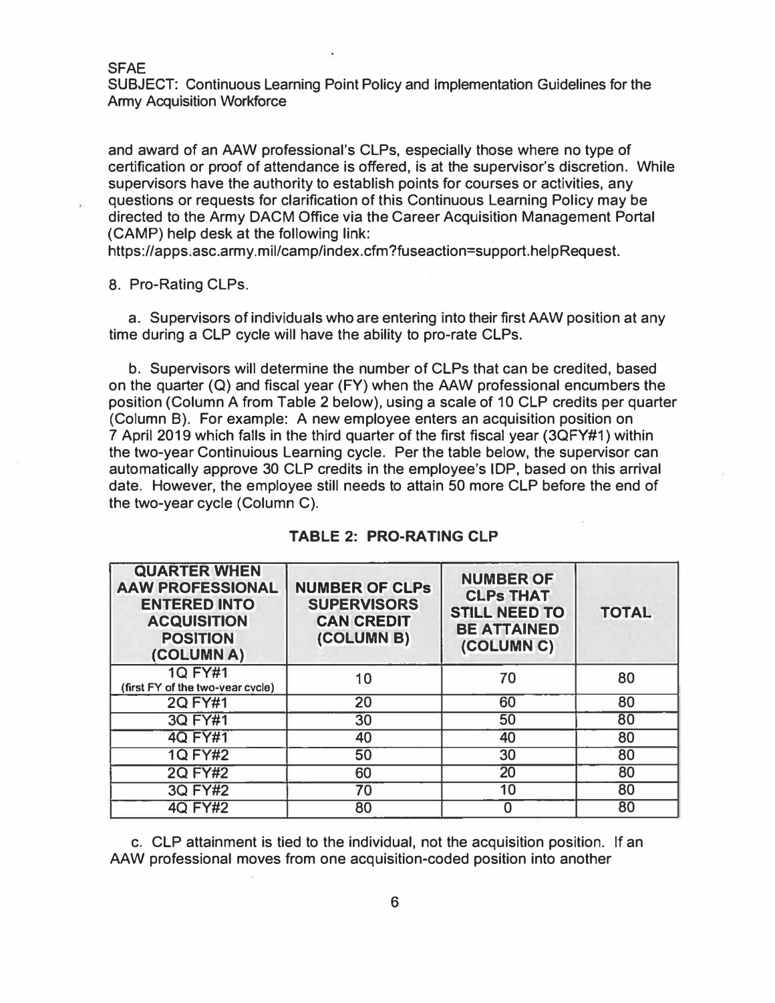SUBJECT: Continuous Learning Point Policy and Implementation Guidelines for the Army Acquisition Workforce

and award of an AAW professional's CLPs, especially those where no type of certification or proof of attendance is offered, is at the supervisor's discretion. While supervisors have the authority to establish points for courses or activities, any questions or requests for clarification of this Continuous Learning Policy may be directed to the Army DACM Office via the Career Acquisition Management Portal (CAMP) help desk at the following link:

https:/lapps.asc.army .mil/camp/index.cfm?fuseaction=support.helpRequest.

8. Pro-Rating CLPs.

a. Supervisors of individuals who are entering into their first AAW position at any time during a CLP cycle will have the ability to pro-rate CLPs.

b. Supervisors will determine the number of CLPs that can be credited, based on the quarter (Q) and fiscal year (FY) when the AAW professional encumbers the position (Column A from Table 2 below), using a scale of 10 CLP credits per quarter (Column B). For example: A new employee enters an acquisition position on 7 April 2019 which falls in the third quarter of the first fiscal year (3QFY#1) within the two-year Continuious Learning cycle. Per the table below, the supervisor can automatically approve 30 CLP credits in the employee's IDP, based on this arrival date. However, the employee still needs to attain 50 more CLP before the end of the two-year cycle (Column C).

| <b>QUARTER WHEN</b><br><b>AAW PROFESSIONAL</b><br><b>ENTERED INTO</b><br><b>ACQUISITION</b><br><b>POSITION</b><br>(COLUMN A) | <b>NUMBER OF CLPs</b><br><b>SUPERVISORS</b><br><b>CAN CREDIT</b><br>(COLUMN B) | <b>NUMBER OF</b><br><b>CLPs THAT</b><br><b>STILL NEED TO</b><br><b>BE ATTAINED</b><br>(COLUMN C) | <b>TOTAL</b> |
|------------------------------------------------------------------------------------------------------------------------------|--------------------------------------------------------------------------------|--------------------------------------------------------------------------------------------------|--------------|
| <b>1Q FY#1</b><br>(first FY of the two-year cycle)                                                                           | 10                                                                             | 70                                                                                               | 80           |
| <b>2Q FY#1</b>                                                                                                               | 20                                                                             | 60                                                                                               | 80           |
| <b>3Q FY#1</b>                                                                                                               | 30                                                                             | 50                                                                                               | 80           |
| <b>4Q FY#1</b>                                                                                                               | 40                                                                             | 40                                                                                               | 80           |
| <b>1Q FY#2</b>                                                                                                               | 50                                                                             | 30                                                                                               | 80           |
| <b>2Q FY#2</b>                                                                                                               | 60                                                                             | 20                                                                                               | 80           |
| <b>3Q FY#2</b>                                                                                                               | 70                                                                             | 10                                                                                               | 80           |
| <b>4Q FY#2</b>                                                                                                               | 80                                                                             | 0                                                                                                | 80           |

|  | TABLE 2: PRO-RATING CLP |  |  |
|--|-------------------------|--|--|
|--|-------------------------|--|--|

c. CLP attainment is tied to the individual, not the acquisition position. If an AAW professional moves from one acquisition-coded position into another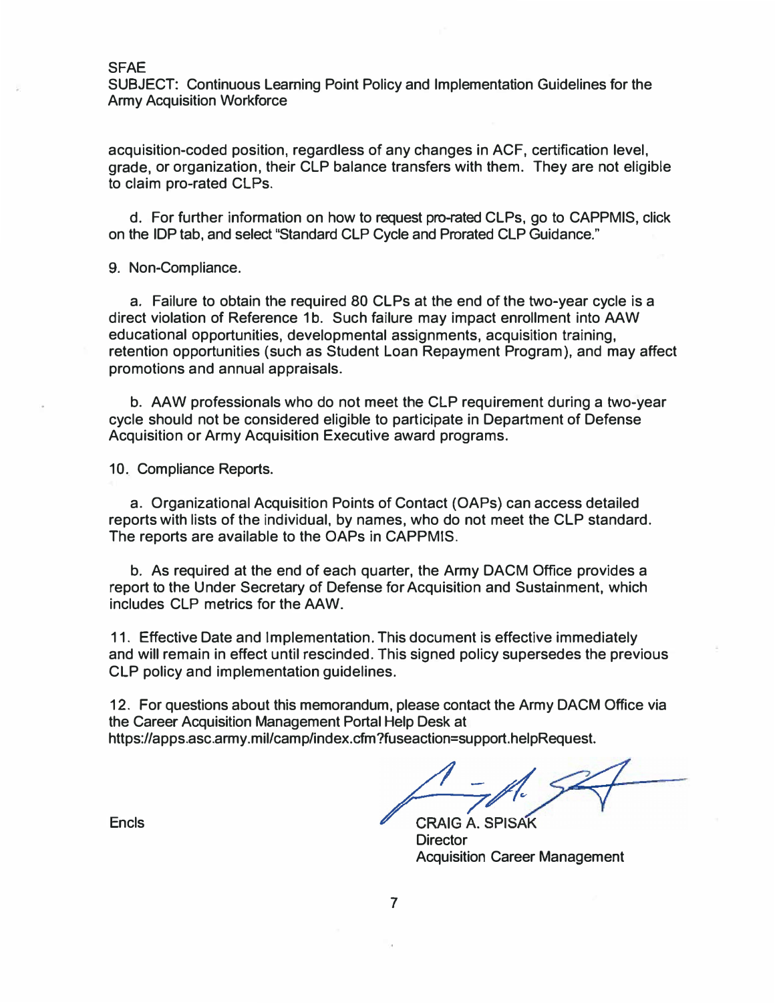SUBJECT: Continuous Leaming Point Policy and Implementation Guidelines for the Army Acquisition Workforce

acquisition-coded position, regardless of any changes in ACF, certification level, grade, or organization, their CLP balance transfers with them. They are not eligible to claim pro-rated CLPs.

d. For further information on how to request pro-rated CLPs, go to CAPPMIS, click on the IDP tab, and select "Standard CLP Cycle and Prorated CLP Guidance."

9. Non-Compliance.

a. Failure to obtain the required 80 CLPs at the end of the two-year cycle is a direct violation of Reference 1b. Such failure may impact enrollment into AAW educational opportunities, developmental assignments, acquisition training, retention opportunities (such as Student Loan Repayment Program), and may affect promotions and annual appraisals.

b. AAW professionals who do not meet the CLP requirement during a two-year cycle should not be considered eligible to participate in Department of Defense Acquisition or Army Acquisition Executive award programs.

10. Compliance Reports.

a. Organizational Acquisition Points of Contact (OAPs) can access detailed reports with lists of the individual, by names, who do not meet the CLP standard. The reports are available to the OAPs in CAPPMIS.

b. As required at the end of each quarter, the Army DACM Office provides a report to the Under Secretary of Defense for Acquisition and Sustainment, which includes CLP metrics for the AAW.

11. Effective Date and Implementation. This document is effective immediately and will remain in effect until rescinded. This signed policy supersedes the previous CLP policy and implementation guidelines.

12. For questions about this memorandum, please contact the Army DACM Office via the Career Acquisition Management Portal Help Desk at https://apps.asc.army.mil/camp/index.cfm?fuseaction=support.helpRequest.

**CRAIG A. SPIS Director** Acquisition Career Management

**Encls**